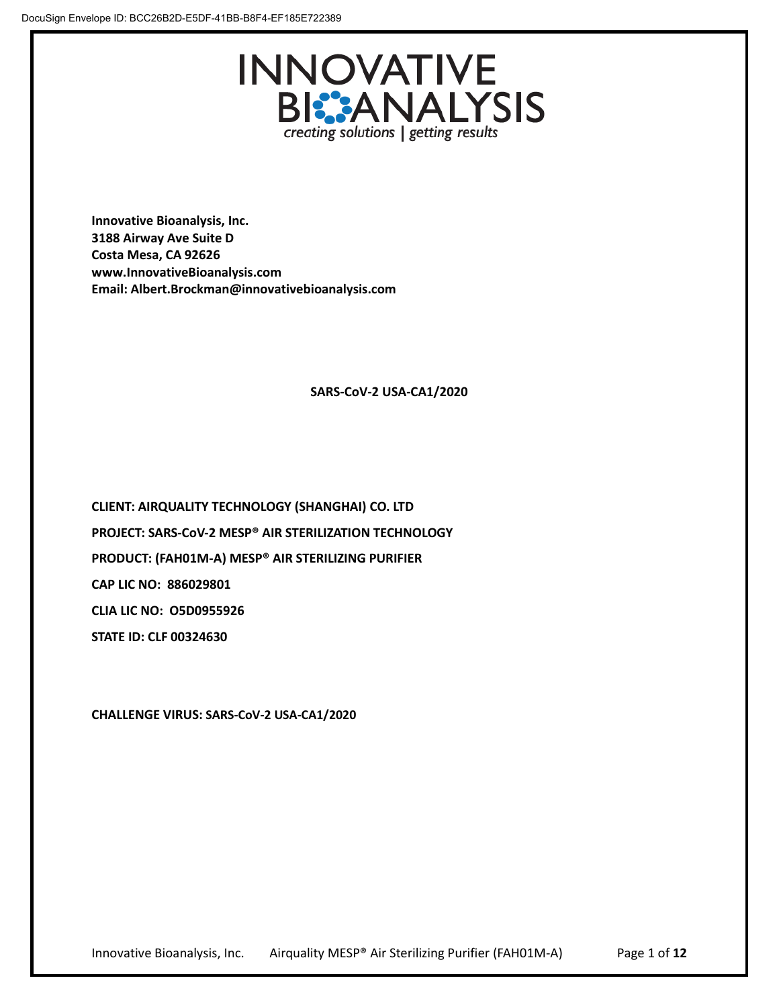

**Innovative Bioanalysis, Inc. 3188 Airway Ave Suite D Costa Mesa, CA 92626 www.InnovativeBioanalysis.com Email: Albert.Brockman@innovativebioanalysis.com**

# **SARS-CoV-2 USA-CA1/2020**

 **CAP LIC NO: 886029801 CLIA LIC NO: O5D0955926 CLIENT: AIRQUALITY TECHNOLOGY (SHANGHAI) CO. LTD PROJECT: SARS-CoV-2 MESP® AIR STERILIZATION TECHNOLOGY PRODUCT: (FAH01M-A) MESP® AIR STERILIZING PURIFIER STATE ID: CLF 00324630**

**CHALLENGE VIRUS: SARS-CoV-2 USA-CA1/2020**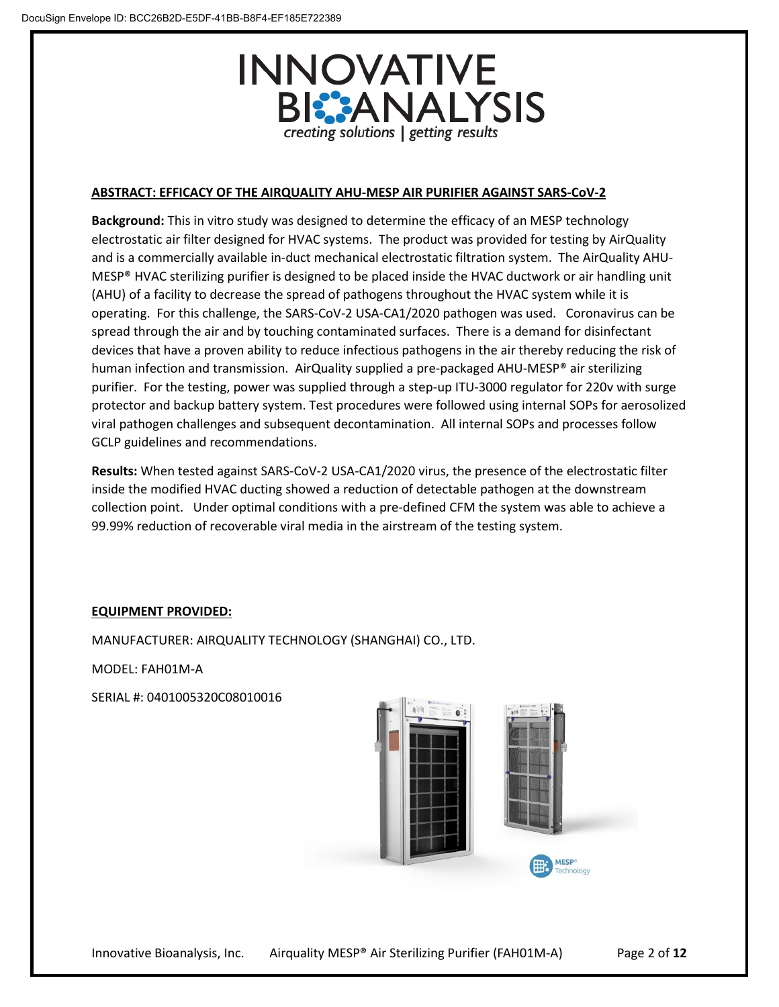

# **ABSTRACT: EFFICACY OF THE AIRQUALITY AHU-MESP AIR PURIFIER AGAINST SARS-CoV-2**

**Background:** This in vitro study was designed to determine the efficacy of an MESP technology electrostatic air filter designed for HVAC systems. The product was provided for testing by AirQuality and is a commercially available in-duct mechanical electrostatic filtration system. The AirQuality AHU-MESP® HVAC sterilizing purifier is designed to be placed inside the HVAC ductwork or air handling unit (AHU) of a facility to decrease the spread of pathogens throughout the HVAC system while it is operating. For this challenge, the SARS-CoV-2 USA-CA1/2020 pathogen was used. Coronavirus can be spread through the air and by touching contaminated surfaces. There is a demand for disinfectant devices that have a proven ability to reduce infectious pathogens in the air thereby reducing the risk of human infection and transmission. AirQuality supplied a pre-packaged AHU-MESP® air sterilizing purifier. For the testing, power was supplied through a step-up ITU-3000 regulator for 220v with surge protector and backup battery system. Test procedures were followed using internal SOPs for aerosolized viral pathogen challenges and subsequent decontamination. All internal SOPs and processes follow GCLP guidelines and recommendations.

**Results:** When tested against SARS-CoV-2 USA-CA1/2020 virus, the presence of the electrostatic filter inside the modified HVAC ducting showed a reduction of detectable pathogen at the downstream collection point. Under optimal conditions with a pre-defined CFM the system was able to achieve a 99.99% reduction of recoverable viral media in the airstream of the testing system.

#### **EQUIPMENT PROVIDED:**

MANUFACTURER: AIRQUALITY TECHNOLOGY (SHANGHAI) CO., LTD.

MODEL: FAH01M-A

SERIAL #: 0401005320C08010016

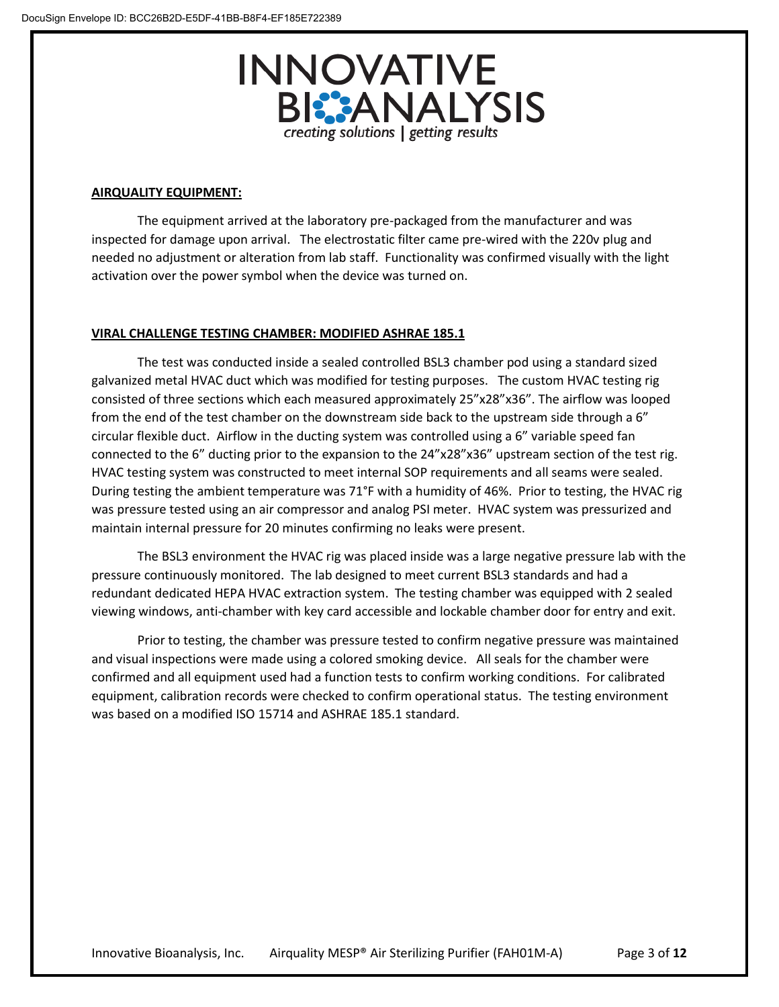

## **AIRQUALITY EQUIPMENT:**

The equipment arrived at the laboratory pre-packaged from the manufacturer and was inspected for damage upon arrival. The electrostatic filter came pre-wired with the 220v plug and needed no adjustment or alteration from lab staff. Functionality was confirmed visually with the light activation over the power symbol when the device was turned on.

# **VIRAL CHALLENGE TESTING CHAMBER: MODIFIED ASHRAE 185.1**

The test was conducted inside a sealed controlled BSL3 chamber pod using a standard sized galvanized metal HVAC duct which was modified for testing purposes. The custom HVAC testing rig consisted of three sections which each measured approximately 25"x28"x36". The airflow was looped from the end of the test chamber on the downstream side back to the upstream side through a 6" circular flexible duct. Airflow in the ducting system was controlled using a 6" variable speed fan connected to the 6" ducting prior to the expansion to the 24"x28"x36" upstream section of the test rig. HVAC testing system was constructed to meet internal SOP requirements and all seams were sealed. During testing the ambient temperature was 71°F with a humidity of 46%. Prior to testing, the HVAC rig was pressure tested using an air compressor and analog PSI meter. HVAC system was pressurized and maintain internal pressure for 20 minutes confirming no leaks were present.

The BSL3 environment the HVAC rig was placed inside was a large negative pressure lab with the pressure continuously monitored. The lab designed to meet current BSL3 standards and had a redundant dedicated HEPA HVAC extraction system. The testing chamber was equipped with 2 sealed viewing windows, anti-chamber with key card accessible and lockable chamber door for entry and exit.

Prior to testing, the chamber was pressure tested to confirm negative pressure was maintained and visual inspections were made using a colored smoking device. All seals for the chamber were confirmed and all equipment used had a function tests to confirm working conditions. For calibrated equipment, calibration records were checked to confirm operational status. The testing environment was based on a modified ISO 15714 and ASHRAE 185.1 standard.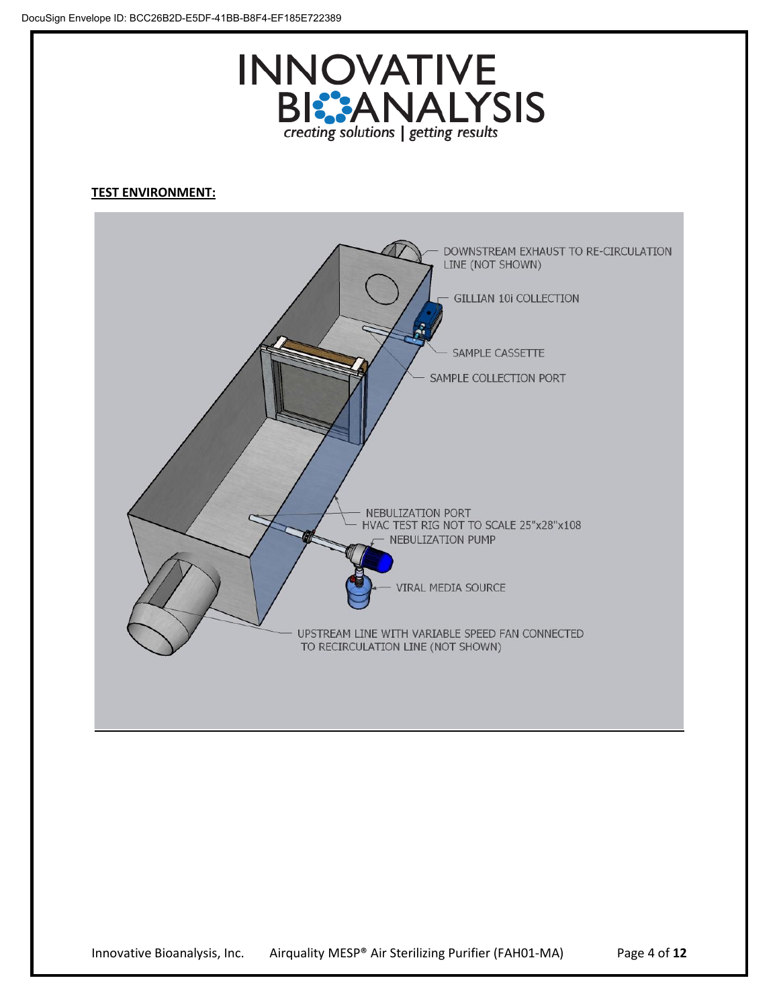

# **TEST ENVIRONMENT:**

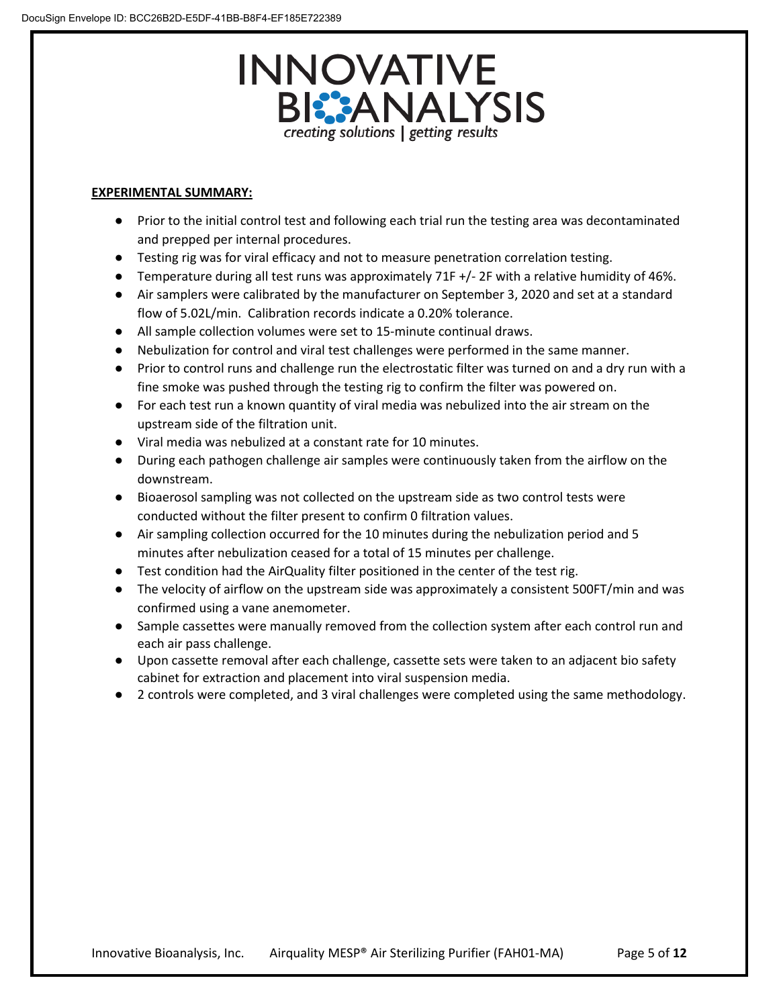# **INNOVATIVE BI:** ANALYSIS creating solutions | getting results

# **EXPERIMENTAL SUMMARY:**

- Prior to the initial control test and following each trial run the testing area was decontaminated and prepped per internal procedures.
- Testing rig was for viral efficacy and not to measure penetration correlation testing.
- Temperature during all test runs was approximately 71F +/- 2F with a relative humidity of 46%.
- Air samplers were calibrated by the manufacturer on September 3, 2020 and set at a standard flow of 5.02L/min. Calibration records indicate a 0.20% tolerance.
- All sample collection volumes were set to 15-minute continual draws.
- Nebulization for control and viral test challenges were performed in the same manner.
- Prior to control runs and challenge run the electrostatic filter was turned on and a dry run with a fine smoke was pushed through the testing rig to confirm the filter was powered on.
- For each test run a known quantity of viral media was nebulized into the air stream on the upstream side of the filtration unit.
- Viral media was nebulized at a constant rate for 10 minutes.
- During each pathogen challenge air samples were continuously taken from the airflow on the downstream.
- Bioaerosol sampling was not collected on the upstream side as two control tests were conducted without the filter present to confirm 0 filtration values.
- Air sampling collection occurred for the 10 minutes during the nebulization period and 5 minutes after nebulization ceased for a total of 15 minutes per challenge.
- Test condition had the AirQuality filter positioned in the center of the test rig.
- The velocity of airflow on the upstream side was approximately a consistent 500FT/min and was confirmed using a vane anemometer.
- Sample cassettes were manually removed from the collection system after each control run and each air pass challenge.
- Upon cassette removal after each challenge, cassette sets were taken to an adjacent bio safety cabinet for extraction and placement into viral suspension media.
- 2 controls were completed, and 3 viral challenges were completed using the same methodology.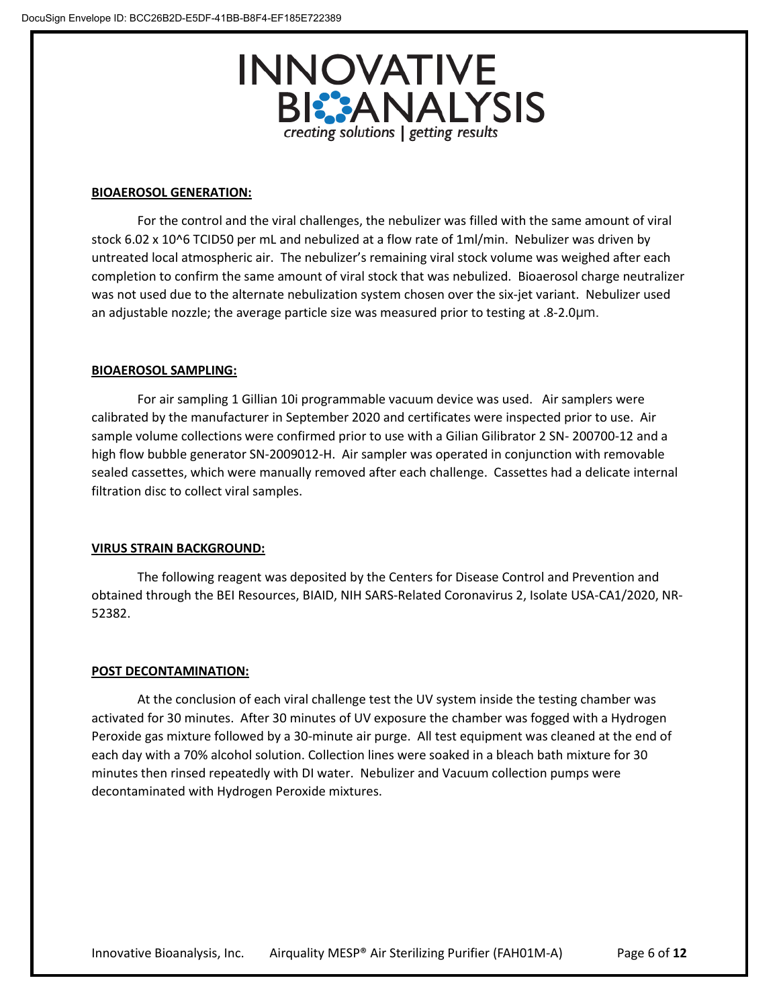

#### **BIOAEROSOL GENERATION:**

For the control and the viral challenges, the nebulizer was filled with the same amount of viral stock 6.02 x 10^6 TCID50 per mL and nebulized at a flow rate of 1ml/min. Nebulizer was driven by untreated local atmospheric air. The nebulizer's remaining viral stock volume was weighed after each completion to confirm the same amount of viral stock that was nebulized. Bioaerosol charge neutralizer was not used due to the alternate nebulization system chosen over the six-jet variant. Nebulizer used an adjustable nozzle; the average particle size was measured prior to testing at .8-2.0μm.

# **BIOAEROSOL SAMPLING:**

For air sampling 1 Gillian 10i programmable vacuum device was used. Air samplers were calibrated by the manufacturer in September 2020 and certificates were inspected prior to use. Air sample volume collections were confirmed prior to use with a Gilian Gilibrator 2 SN- 200700-12 and a high flow bubble generator SN-2009012-H. Air sampler was operated in conjunction with removable sealed cassettes, which were manually removed after each challenge. Cassettes had a delicate internal filtration disc to collect viral samples.

# **VIRUS STRAIN BACKGROUND:**

The following reagent was deposited by the Centers for Disease Control and Prevention and obtained through the BEI Resources, BIAID, NIH SARS-Related Coronavirus 2, Isolate USA-CA1/2020, NR-52382.

#### **POST DECONTAMINATION:**

At the conclusion of each viral challenge test the UV system inside the testing chamber was activated for 30 minutes. After 30 minutes of UV exposure the chamber was fogged with a Hydrogen Peroxide gas mixture followed by a 30-minute air purge. All test equipment was cleaned at the end of each day with a 70% alcohol solution. Collection lines were soaked in a bleach bath mixture for 30 minutes then rinsed repeatedly with DI water. Nebulizer and Vacuum collection pumps were decontaminated with Hydrogen Peroxide mixtures.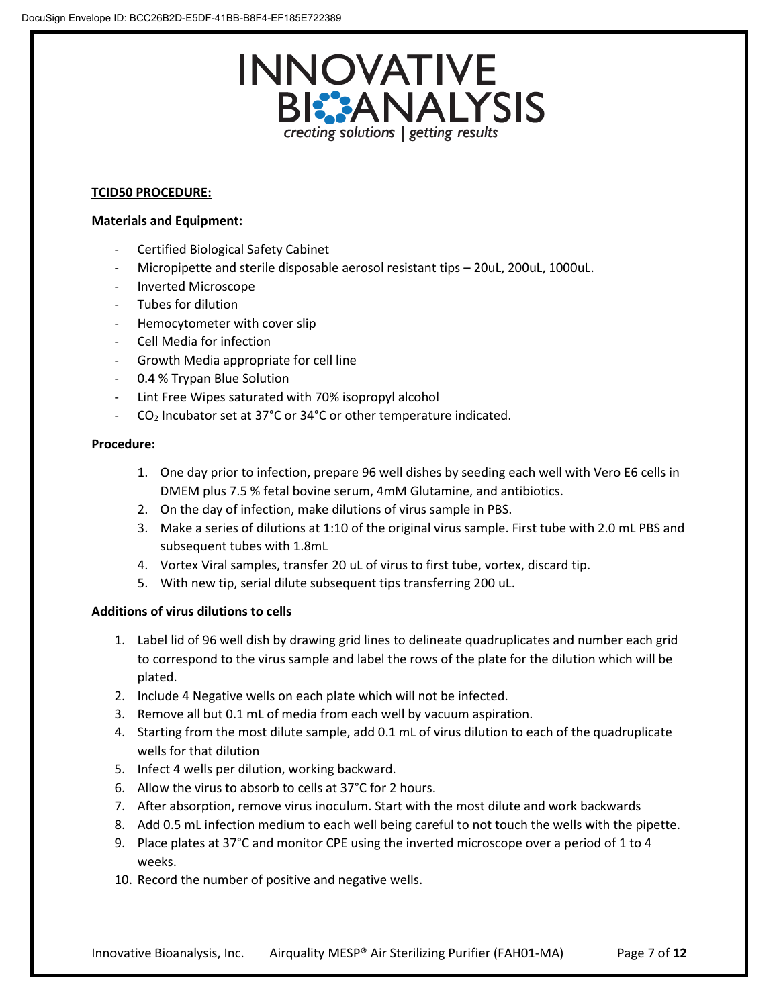

# **TCID50 PROCEDURE:**

## **Materials and Equipment:**

- Certified Biological Safety Cabinet
- Micropipette and sterile disposable aerosol resistant tips 20uL, 200uL, 1000uL.
- Inverted Microscope
- Tubes for dilution
- Hemocytometer with cover slip
- Cell Media for infection
- Growth Media appropriate for cell line
- 0.4 % Trypan Blue Solution
- Lint Free Wipes saturated with 70% isopropyl alcohol
- $CO<sub>2</sub>$  Incubator set at 37°C or 34°C or other temperature indicated.

# **Procedure:**

- 1. One day prior to infection, prepare 96 well dishes by seeding each well with Vero E6 cells in DMEM plus 7.5 % fetal bovine serum, 4mM Glutamine, and antibiotics.
- 2. On the day of infection, make dilutions of virus sample in PBS.
- 3. Make a series of dilutions at 1:10 of the original virus sample. First tube with 2.0 mL PBS and subsequent tubes with 1.8mL
- 4. Vortex Viral samples, transfer 20 uL of virus to first tube, vortex, discard tip.
- 5. With new tip, serial dilute subsequent tips transferring 200 uL.

# **Additions of virus dilutions to cells**

- 1. Label lid of 96 well dish by drawing grid lines to delineate quadruplicates and number each grid to correspond to the virus sample and label the rows of the plate for the dilution which will be plated.
- 2. Include 4 Negative wells on each plate which will not be infected.
- 3. Remove all but 0.1 mL of media from each well by vacuum aspiration.
- 4. Starting from the most dilute sample, add 0.1 mL of virus dilution to each of the quadruplicate wells for that dilution
- 5. Infect 4 wells per dilution, working backward.
- 6. Allow the virus to absorb to cells at 37°C for 2 hours.
- 7. After absorption, remove virus inoculum. Start with the most dilute and work backwards
- 8. Add 0.5 mL infection medium to each well being careful to not touch the wells with the pipette.
- 9. Place plates at 37°C and monitor CPE using the inverted microscope over a period of 1 to 4 weeks.
- 10. Record the number of positive and negative wells.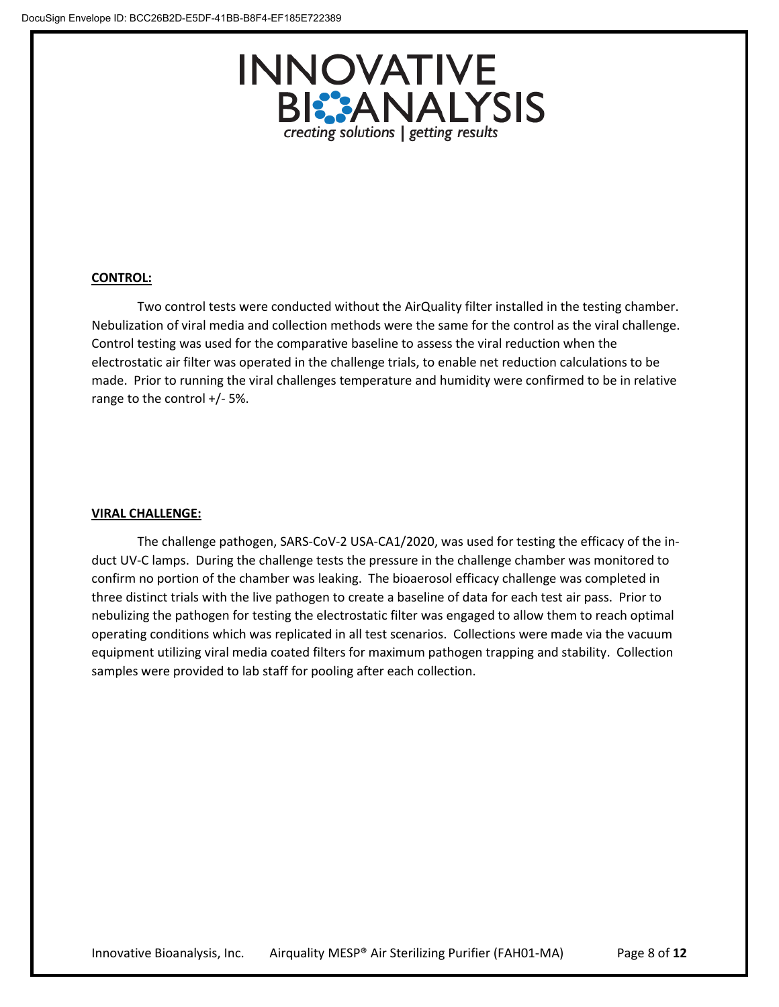

# **CONTROL:**

Two control tests were conducted without the AirQuality filter installed in the testing chamber. Nebulization of viral media and collection methods were the same for the control as the viral challenge. Control testing was used for the comparative baseline to assess the viral reduction when the electrostatic air filter was operated in the challenge trials, to enable net reduction calculations to be made. Prior to running the viral challenges temperature and humidity were confirmed to be in relative range to the control +/- 5%.

#### **VIRAL CHALLENGE:**

The challenge pathogen, SARS-CoV-2 USA-CA1/2020, was used for testing the efficacy of the induct UV-C lamps. During the challenge tests the pressure in the challenge chamber was monitored to confirm no portion of the chamber was leaking. The bioaerosol efficacy challenge was completed in three distinct trials with the live pathogen to create a baseline of data for each test air pass. Prior to nebulizing the pathogen for testing the electrostatic filter was engaged to allow them to reach optimal operating conditions which was replicated in all test scenarios. Collections were made via the vacuum equipment utilizing viral media coated filters for maximum pathogen trapping and stability. Collection samples were provided to lab staff for pooling after each collection.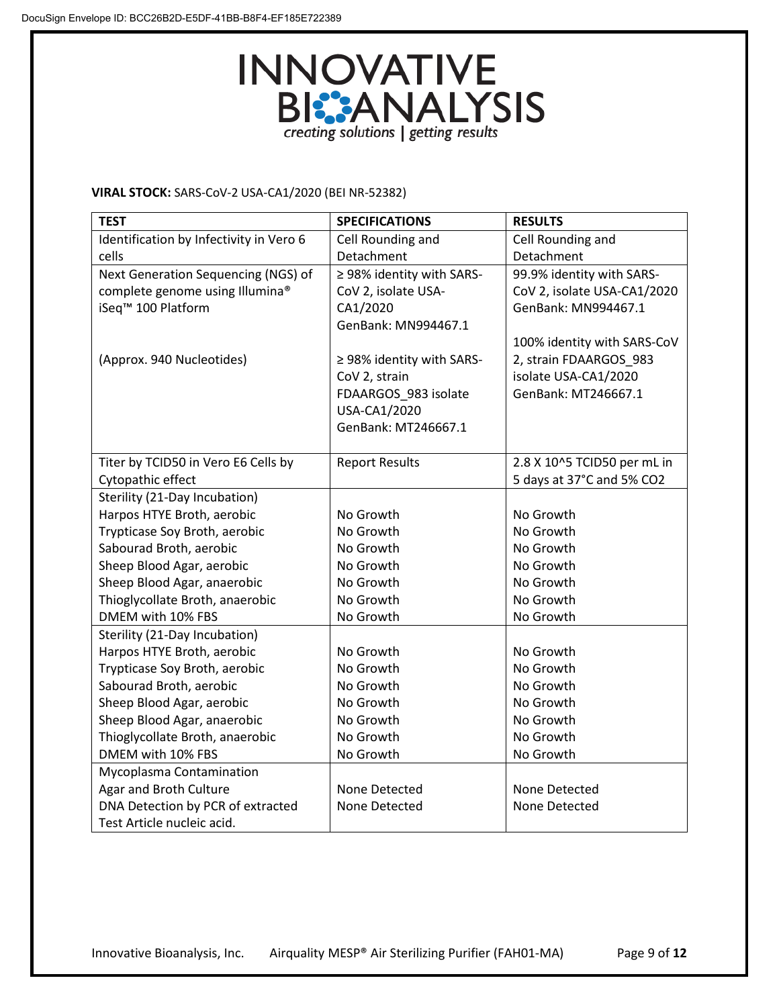

# **VIRAL STOCK:** SARS-CoV-2 USA-CA1/2020 (BEI NR-52382)

| <b>TEST</b>                             | <b>SPECIFICATIONS</b>     | <b>RESULTS</b>              |
|-----------------------------------------|---------------------------|-----------------------------|
| Identification by Infectivity in Vero 6 | Cell Rounding and         | Cell Rounding and           |
| cells                                   | Detachment                | Detachment                  |
| Next Generation Sequencing (NGS) of     | ≥ 98% identity with SARS- | 99.9% identity with SARS-   |
| complete genome using Illumina®         | CoV 2, isolate USA-       | CoV 2, isolate USA-CA1/2020 |
| iSeq <sup>™</sup> 100 Platform          | CA1/2020                  | GenBank: MN994467.1         |
|                                         | GenBank: MN994467.1       |                             |
|                                         |                           | 100% identity with SARS-CoV |
| (Approx. 940 Nucleotides)               | ≥ 98% identity with SARS- | 2, strain FDAARGOS 983      |
|                                         | CoV 2, strain             | isolate USA-CA1/2020        |
|                                         | FDAARGOS_983 isolate      | GenBank: MT246667.1         |
|                                         | USA-CA1/2020              |                             |
|                                         | GenBank: MT246667.1       |                             |
|                                         |                           |                             |
| Titer by TCID50 in Vero E6 Cells by     | <b>Report Results</b>     | 2.8 X 10^5 TCID50 per mL in |
| Cytopathic effect                       |                           | 5 days at 37°C and 5% CO2   |
| Sterility (21-Day Incubation)           |                           |                             |
| Harpos HTYE Broth, aerobic              | No Growth                 | No Growth                   |
| Trypticase Soy Broth, aerobic           | No Growth                 | No Growth                   |
| Sabourad Broth, aerobic                 | No Growth                 | No Growth                   |
| Sheep Blood Agar, aerobic               | No Growth                 | No Growth                   |
| Sheep Blood Agar, anaerobic             | No Growth                 | No Growth                   |
| Thioglycollate Broth, anaerobic         | No Growth                 | No Growth                   |
| DMEM with 10% FBS                       | No Growth                 | No Growth                   |
| Sterility (21-Day Incubation)           |                           |                             |
| Harpos HTYE Broth, aerobic              | No Growth                 | No Growth                   |
| Trypticase Soy Broth, aerobic           | No Growth                 | No Growth                   |
| Sabourad Broth, aerobic                 | No Growth                 | No Growth                   |
| Sheep Blood Agar, aerobic               | No Growth                 | No Growth                   |
| Sheep Blood Agar, anaerobic             | No Growth                 | No Growth                   |
| Thioglycollate Broth, anaerobic         | No Growth                 | No Growth                   |
| DMEM with 10% FBS                       | No Growth                 | No Growth                   |
| Mycoplasma Contamination                |                           |                             |
| Agar and Broth Culture                  | None Detected             | None Detected               |
| DNA Detection by PCR of extracted       | None Detected             | None Detected               |
| Test Article nucleic acid.              |                           |                             |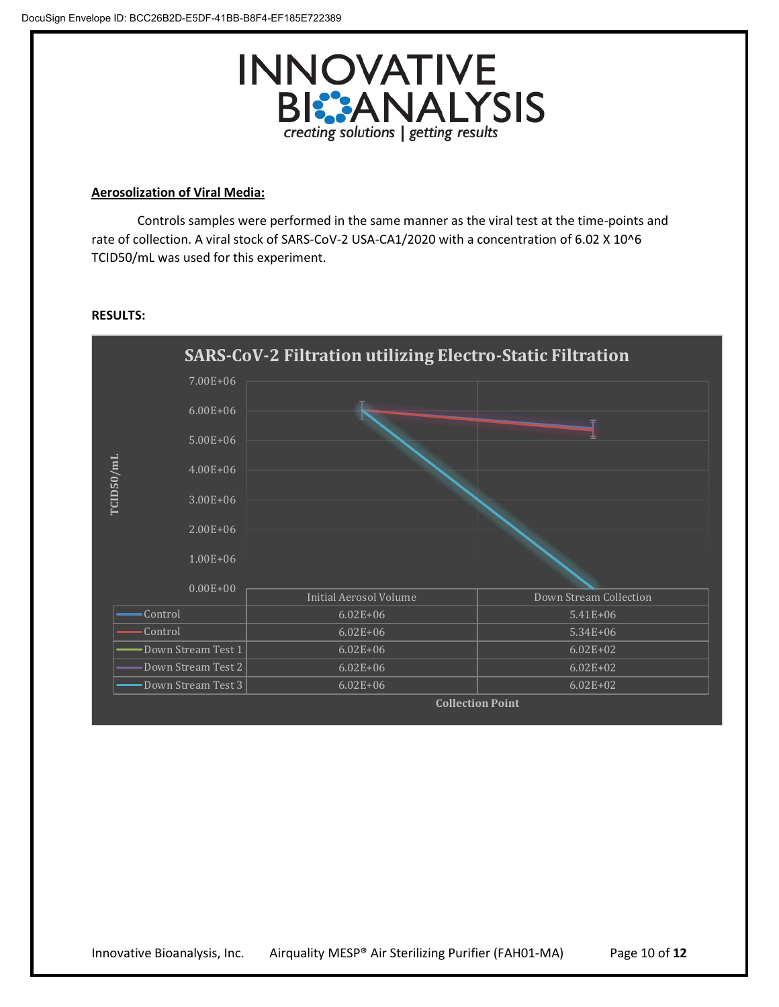

## **Aerosolization of Viral Media:**

Controls samples were performed in the same manner as the viral test at the time-points and rate of collection. A viral stock of SARS-CoV-2 USA-CA1/2020 with a concentration of 6.02 X 10^6 TCID50/mL was used for this experiment.



#### **RESULTS:**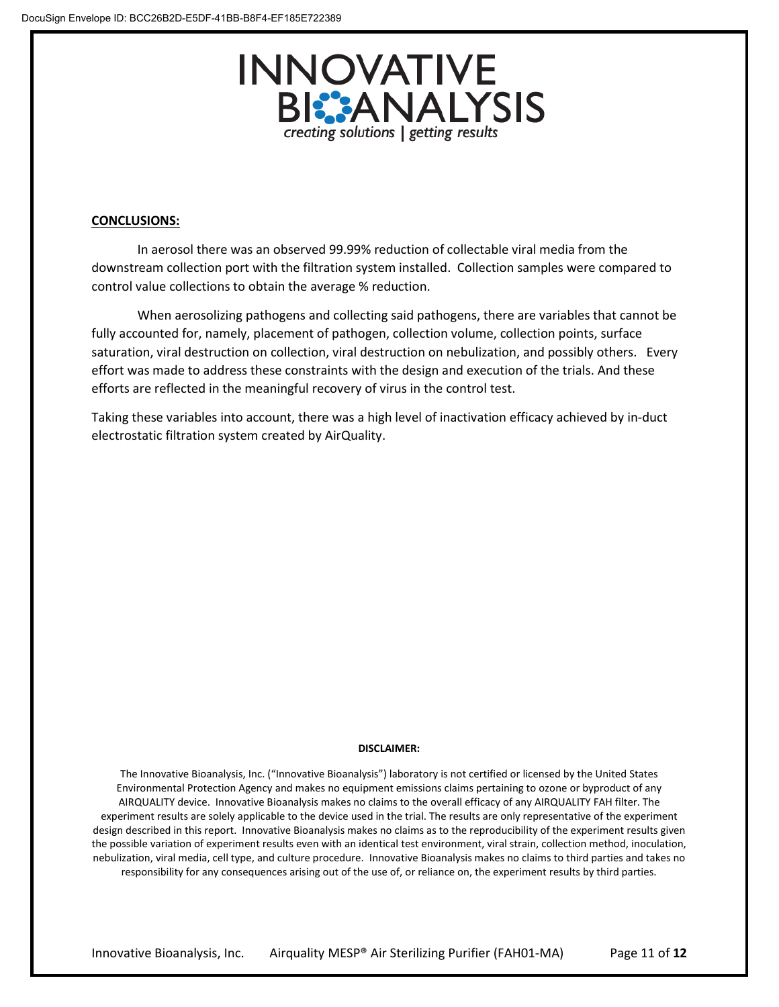

#### **CONCLUSIONS:**

In aerosol there was an observed 99.99% reduction of collectable viral media from the downstream collection port with the filtration system installed. Collection samples were compared to control value collections to obtain the average % reduction.

When aerosolizing pathogens and collecting said pathogens, there are variables that cannot be fully accounted for, namely, placement of pathogen, collection volume, collection points, surface saturation, viral destruction on collection, viral destruction on nebulization, and possibly others. Every effort was made to address these constraints with the design and execution of the trials. And these efforts are reflected in the meaningful recovery of virus in the control test.

Taking these variables into account, there was a high level of inactivation efficacy achieved by in-duct electrostatic filtration system created by AirQuality.

#### **DISCLAIMER:**

The Innovative Bioanalysis, Inc. ("Innovative Bioanalysis") laboratory is not certified or licensed by the United States Environmental Protection Agency and makes no equipment emissions claims pertaining to ozone or byproduct of any AIRQUALITY device. Innovative Bioanalysis makes no claims to the overall efficacy of any AIRQUALITY FAH filter. The experiment results are solely applicable to the device used in the trial. The results are only representative of the experiment design described in this report. Innovative Bioanalysis makes no claims as to the reproducibility of the experiment results given the possible variation of experiment results even with an identical test environment, viral strain, collection method, inoculation, nebulization, viral media, cell type, and culture procedure. Innovative Bioanalysis makes no claims to third parties and takes no responsibility for any consequences arising out of the use of, or reliance on, the experiment results by third parties.

Innovative Bioanalysis, Inc. Airquality MESP® Air Sterilizing Purifier (FAH01-MA) Page 11 of **12**